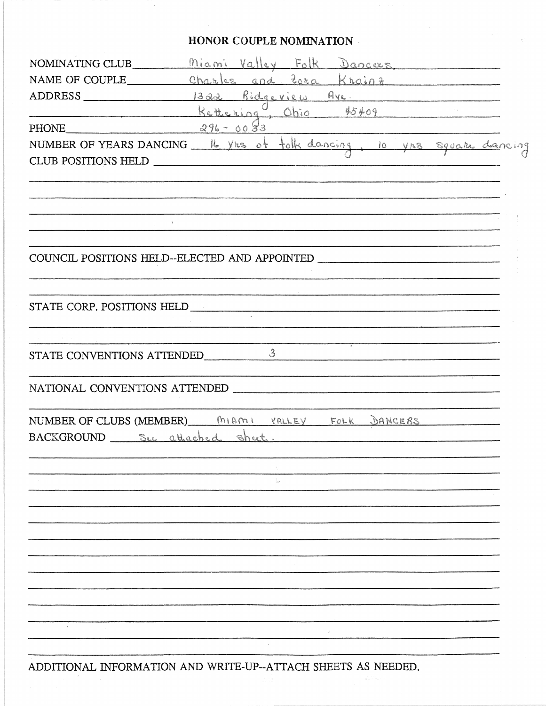## HONOR COUPLE NOMINATION

 $\alpha = \alpha \beta$  .

 $\sim 10^{10}$ 

| NOMINATING CLUB Miami Valley Folk Dancers                                                                                                                                                                                     |
|-------------------------------------------------------------------------------------------------------------------------------------------------------------------------------------------------------------------------------|
| NAME OF COUPLE Charles and Zora Krainz                                                                                                                                                                                        |
| ADDRESS 1322 Ridgeview Ave                                                                                                                                                                                                    |
| <u>Kettering Chio</u> 45409                                                                                                                                                                                                   |
| PHONE $296 - 0083$                                                                                                                                                                                                            |
| NUMBER OF YEARS DANCING lb yrs of tolk dancing, 10 yrs square dancing                                                                                                                                                         |
| CLUB POSITIONS HELD                                                                                                                                                                                                           |
|                                                                                                                                                                                                                               |
|                                                                                                                                                                                                                               |
|                                                                                                                                                                                                                               |
|                                                                                                                                                                                                                               |
|                                                                                                                                                                                                                               |
| COUNCIL POSITIONS HELD--ELECTED AND APPOINTED                                                                                                                                                                                 |
|                                                                                                                                                                                                                               |
|                                                                                                                                                                                                                               |
|                                                                                                                                                                                                                               |
|                                                                                                                                                                                                                               |
| STATE CONVENTIONS ATTENDED 3                                                                                                                                                                                                  |
|                                                                                                                                                                                                                               |
| NATIONAL CONVENTIONS ATTENDED THE RESERVE THE RESERVE THE RESERVE THE RESERVE THE RESERVE THAT HE RESERVE THE RESERVE THAT HE RESERVE THE RESERVE THAT HE RESERVE THE RESERVE THAT HE RESERVE THAT HE RESERVE THAT HE RESERVE |
|                                                                                                                                                                                                                               |
| NUMBER OF CLUBS (MEMBER) MIAMI VALLEY FOLK DANCERS                                                                                                                                                                            |
| BACKGROUND See attached sheet.                                                                                                                                                                                                |
|                                                                                                                                                                                                                               |
|                                                                                                                                                                                                                               |
|                                                                                                                                                                                                                               |
|                                                                                                                                                                                                                               |
|                                                                                                                                                                                                                               |
|                                                                                                                                                                                                                               |
|                                                                                                                                                                                                                               |
|                                                                                                                                                                                                                               |
|                                                                                                                                                                                                                               |
|                                                                                                                                                                                                                               |
|                                                                                                                                                                                                                               |
|                                                                                                                                                                                                                               |
|                                                                                                                                                                                                                               |

ADDITIONAL INFORMATION AND WRITE-UP--ATTACH SHEETS AS NEEDED.